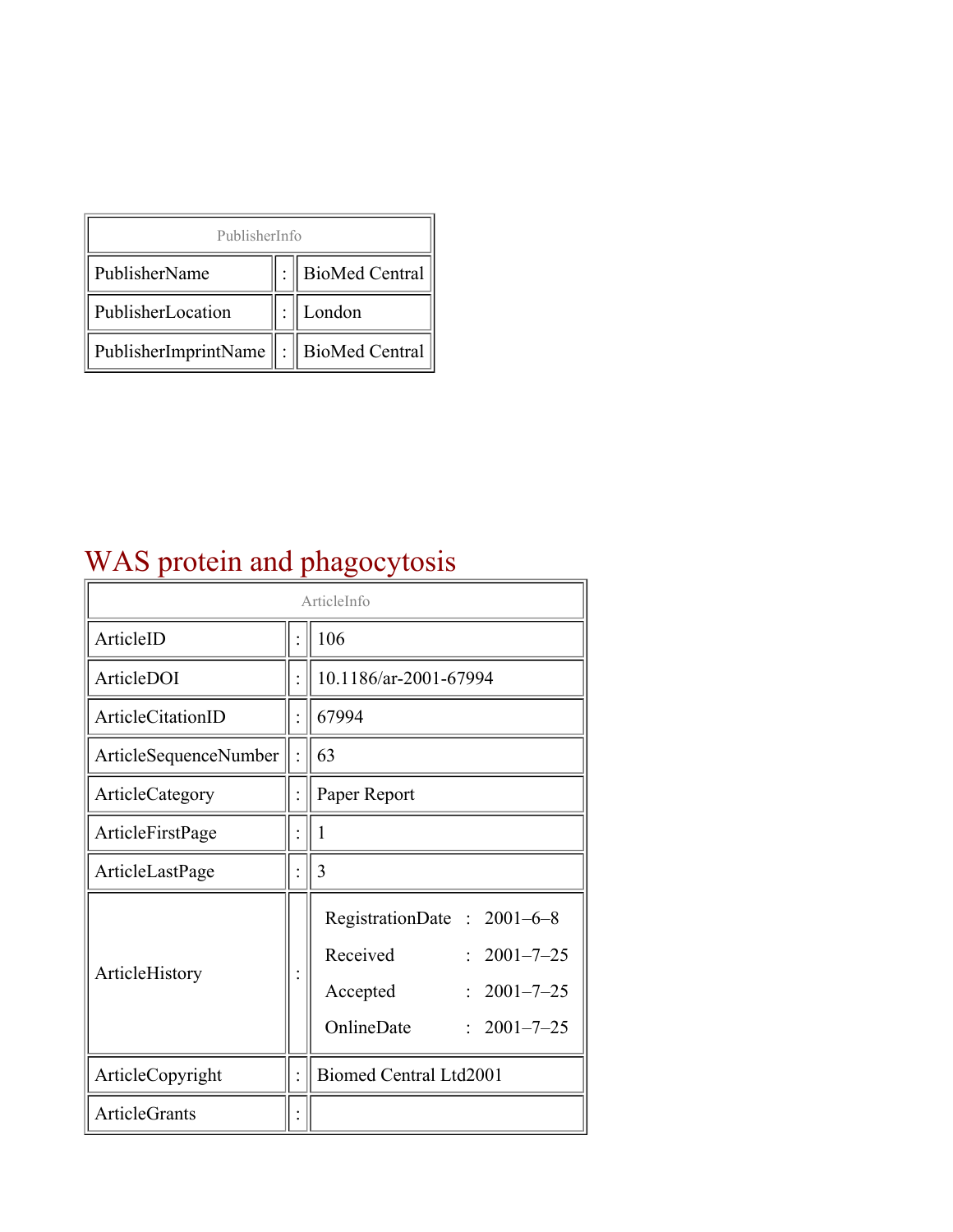| PublisherInfo                               |  |                |  |  |
|---------------------------------------------|--|----------------|--|--|
| PublisherName                               |  | BioMed Central |  |  |
| PublisherLocation                           |  | London         |  |  |
| PublisherImprintName    :    BioMed Central |  |                |  |  |

### WAS protein and phagocytosis

| ArticleInfo           |  |                                                                                                                                     |  |
|-----------------------|--|-------------------------------------------------------------------------------------------------------------------------------------|--|
| ArticleID             |  | 106                                                                                                                                 |  |
| ArticleDOI            |  | 10.1186/ar-2001-67994                                                                                                               |  |
| ArticleCitationID     |  | 67994                                                                                                                               |  |
| ArticleSequenceNumber |  | 63                                                                                                                                  |  |
| ArticleCategory       |  | Paper Report                                                                                                                        |  |
| ArticleFirstPage      |  | 1                                                                                                                                   |  |
| ArticleLastPage       |  | 3                                                                                                                                   |  |
| ArticleHistory        |  | RegistrationDate: 2001-6-8<br>Received<br>$2001 - 7 - 25$<br>$2001 - 7 - 25$<br>Accepted<br>OnlineDate<br>$2001 - 7 - 25$<br>$\sim$ |  |
| ArticleCopyright      |  | Biomed Central Ltd2001                                                                                                              |  |
| <b>ArticleGrants</b>  |  |                                                                                                                                     |  |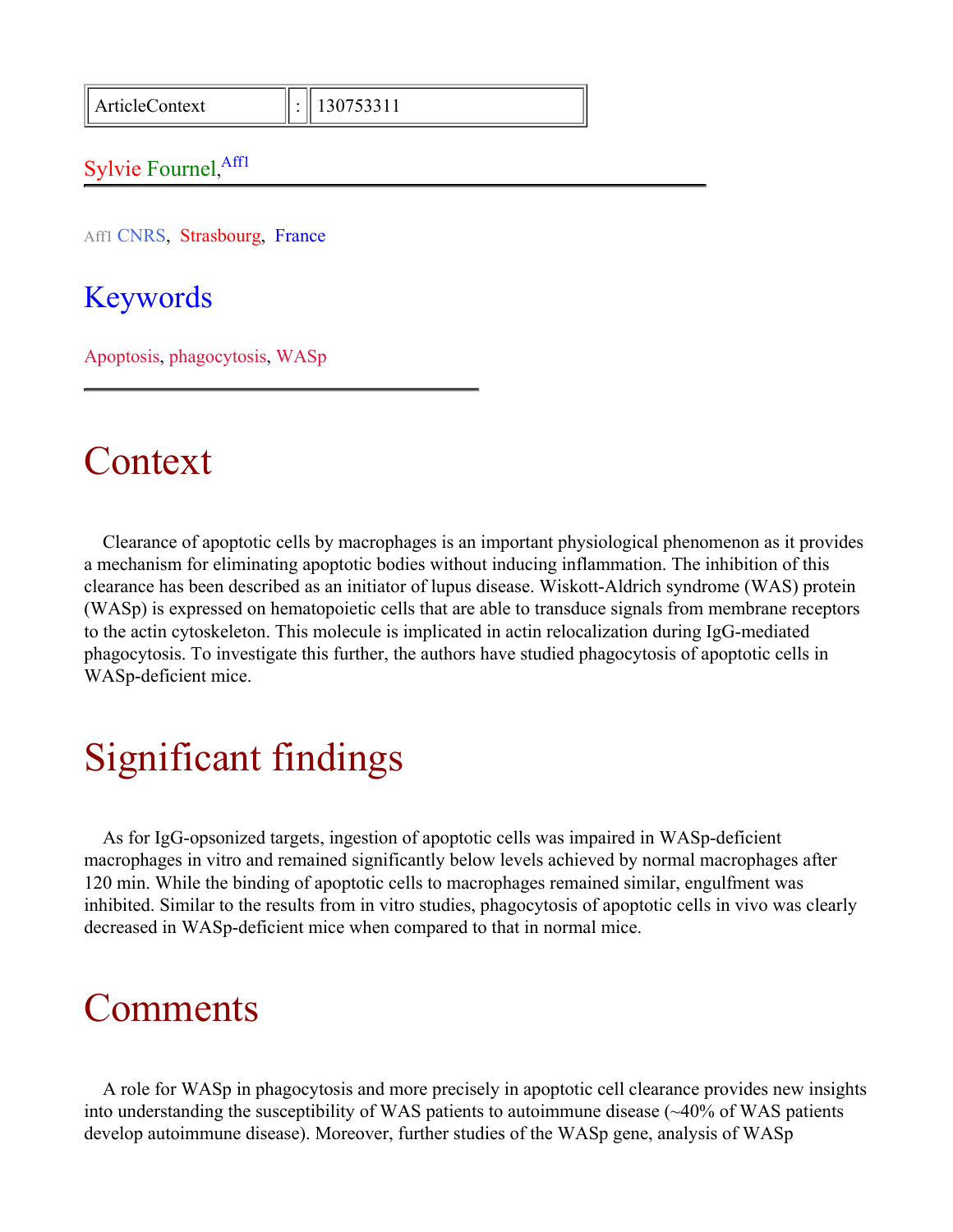ArticleContext : 130753311

#### Sylvie Fournel, Affl

Aff1 CNRS, Strasbourg, France

Keywords

Apoptosis, phagocytosis, WASp

#### Context

Clearance of apoptotic cells by macrophages is an important physiological phenomenon as it provides a mechanism for eliminating apoptotic bodies without inducing inflammation. The inhibition of this clearance has been described as an initiator of lupus disease. Wiskott-Aldrich syndrome (WAS) protein (WASp) is expressed on hematopoietic cells that are able to transduce signals from membrane receptors to the actin cytoskeleton. This molecule is implicated in actin relocalization during IgG-mediated phagocytosis. To investigate this further, the authors have studied phagocytosis of apoptotic cells in WASp-deficient mice.

## Significant findings

As for IgG-opsonized targets, ingestion of apoptotic cells was impaired in WASp-deficient macrophages in vitro and remained significantly below levels achieved by normal macrophages after 120 min. While the binding of apoptotic cells to macrophages remained similar, engulfment was inhibited. Similar to the results from in vitro studies, phagocytosis of apoptotic cells in vivo was clearly decreased in WASp-deficient mice when compared to that in normal mice.

#### **Comments**

A role for WASp in phagocytosis and more precisely in apoptotic cell clearance provides new insights into understanding the susceptibility of WAS patients to autoimmune disease (~40% of WAS patients develop autoimmune disease). Moreover, further studies of the WASp gene, analysis of WASp